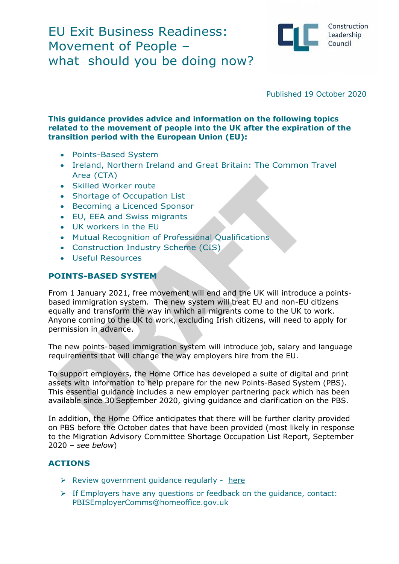

Construction Leadership Council

Published 19 October 2020

#### **This guidance provides advice and information on the following topics related to the movement of people into the UK after the expiration of the transition period with the European Union (EU):**

- Points-Based System
- Ireland, Northern Ireland and Great Britain: The Common Travel Area (CTA)
- Skilled Worker route
- Shortage of Occupation List
- Becoming a Licenced Sponsor
- EU, EEA and Swiss migrants
- UK workers in the EU
- Mutual Recognition of Professional Qualifications
- Construction Industry Scheme (CIS)
- Useful Resources

#### **POINTS-BASED SYSTEM**

From 1 January 2021, free movement will end and the UK will introduce a pointsbased immigration system. The new system will treat EU and non-EU citizens equally and transform the way in which all migrants come to the UK to work. Anyone coming to the UK to work, excluding Irish citizens, will need to apply for permission in advance.

The new points-based immigration system will introduce job, salary and language requirements that will change the way employers hire from the EU.

To support employers, the Home Office has developed a suite of digital and print assets with information to help prepare for the new Points-Based System (PBS). This essential guidance includes a new employer partnering pack which has been available since 30 September 2020, giving guidance and clarification on the PBS.

In addition, the Home Office anticipates that there will be further clarity provided on PBS before the October dates that have been provided (most likely in response to the Migration Advisory Committee Shortage Occupation List Report, September 2020 – *see below*)

#### **ACTIONS**

- $\triangleright$  Review government quidance regularly [here](https://pbisemployers.campaign.gov.uk/)
- ➢ If Employers have any questions or feedback on the guidance, contact: [PBISEmployerComms@homeoffice.gov.uk](mailto:PBISEmployerComms@homeoffice.gov.uk)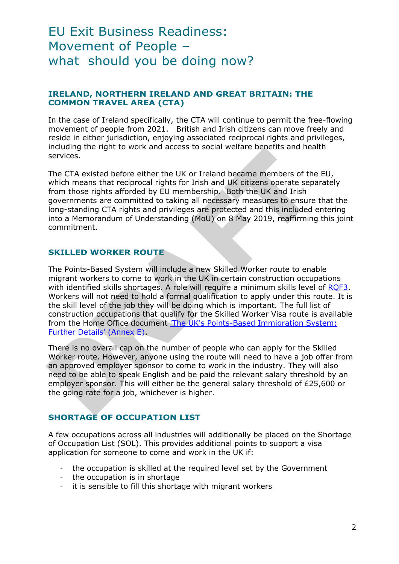# **IRELAND, NORTHERN IRELAND AND GREAT BRITAIN: THE COMMON TRAVEL AREA (CTA)**

In the case of Ireland specifically, the CTA will continue to permit the free-flowing movement of people from 2021. British and Irish citizens can move freely and reside in either jurisdiction, enjoying associated reciprocal rights and privileges, including the right to work and access to social welfare benefits and health services.

The CTA existed before either the UK or Ireland became members of the EU, which means that reciprocal rights for Irish and UK citizens operate separately from those rights afforded by EU membership. Both the UK and Irish governments are committed to taking all necessary measures to ensure that the long-standing CTA rights and privileges are protected and this included entering into a Memorandum of Understanding (MoU) on 8 May 2019, reaffirming this joint commitment.

#### **SKILLED WORKER ROUTE**

The Points-Based System will include a new Skilled Worker route to enable migrant workers to come to work in the UK in certain construction occupations with identified skills shortages. A role will require a minimum skills level of [RQF3.](https://www.gov.uk/what-different-qualification-levels-mean) Workers will not need to hold a formal qualification to apply under this route. It is the skill level of the job they will be doing which is important. The full list of construction occupations that qualify for the Skilled Worker Visa route is available from the Home Office document ['The UK's Points-Based Immigration System:](https://www.gov.uk/government/publications/uk-points-based-immigration-system-further-details-statement)  Further [Details' \(Annex E\).](https://www.gov.uk/government/publications/uk-points-based-immigration-system-further-details-statement)

There is no overall cap on the number of people who can apply for the Skilled Worker route. However, anyone using the route will need to have a job offer from an approved employer sponsor to come to work in the industry. They will also need to be able to speak English and be paid the relevant salary threshold by an employer sponsor. This will either be the general salary threshold of £25,600 or the going rate for a job, whichever is higher.

# **SHORTAGE OF OCCUPATION LIST**

A few occupations across all industries will additionally be placed on the Shortage of Occupation List (SOL). This provides additional points to support a visa application for someone to come and work in the UK if:

- the occupation is skilled at the required level set by the Government
- the occupation is in shortage
- it is sensible to fill this shortage with migrant workers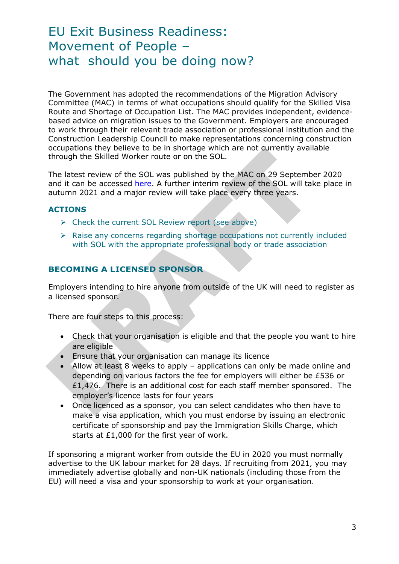The Government has adopted the recommendations of the Migration Advisory Committee (MAC) in terms of what occupations should qualify for the Skilled Visa Route and Shortage of Occupation List. The MAC provides independent, evidencebased advice on migration issues to the Government. Employers are encouraged to work through their relevant trade association or professional institution and the Construction Leadership Council to make representations concerning construction occupations they believe to be in shortage which are not currently available through the Skilled Worker route or on the SOL.

The latest review of the SOL was published by the MAC on 29 September 2020 and it can be accessed [here.](https://assets.publishing.service.gov.uk/government/uploads/system/uploads/attachment_data/file/922019/SOL_2020_Report_Final.pdf) A further interim review of the SOL will take place in autumn 2021 and a major review will take place every three years.

# **ACTIONS**

- $\triangleright$  Check the current SOL Review report (see above)
- ➢ Raise any concerns regarding shortage occupations not currently included with SOL with the appropriate professional body or trade association

# **BECOMING A LICENSED SPONSOR**

Employers intending to hire anyone from outside of the UK will need to register as a licensed sponsor.

There are four steps to this process:

- Check that your organisation is eligible and that the people you want to hire are eligible
- Ensure that your organisation can manage its licence
- Allow at least 8 weeks to apply applications can only be made online and depending on various factors the fee for employers will either be £536 or £1,476. There is an additional cost for each staff member sponsored. The employer's licence lasts for four years
- Once licenced as a sponsor, you can select candidates who then have to make a visa application, which you must endorse by issuing an electronic certificate of sponsorship and pay the Immigration Skills Charge, which starts at £1,000 for the first year of work.

If sponsoring a migrant worker from outside the EU in 2020 you must normally advertise to the UK labour market for 28 days. If recruiting from 2021, you may immediately advertise globally and non-UK nationals (including those from the EU) will need a visa and your sponsorship to work at your organisation.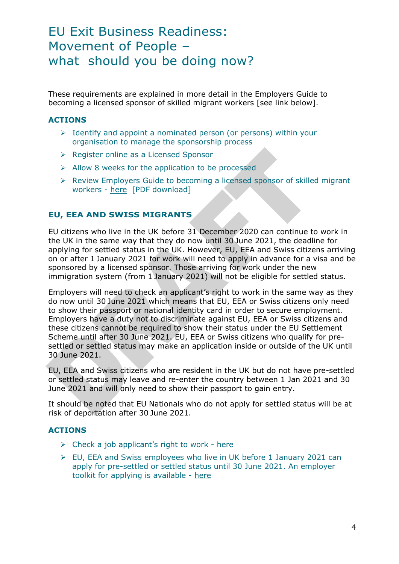These requirements are explained in more detail in the Employers Guide to becoming a licensed sponsor of skilled migrant workers [see link below].

### **ACTIONS**

- ➢ Identify and appoint a nominated person (or persons) within your organisation to manage the sponsorship process
- ➢ Register online as a Licensed Sponsor
- ➢ Allow 8 weeks for the application to be processed
- ➢ Review Employers Guide to becoming a licensed sponsor of skilled migrant workers - [here](https://assets.publishing.service.gov.uk/government/uploads/system/uploads/attachment_data/file/922739/Employers_guide_to_becoming_a_licenced_sponsor.pdf) [PDF download]

#### **EU, EEA AND SWISS MIGRANTS**

EU citizens who live in the UK before 31 December 2020 can continue to work in the UK in the same way that they do now until 30 June 2021, the deadline for applying for settled status in the UK. However, EU, EEA and Swiss citizens arriving on or after 1 January 2021 for work will need to apply in advance for a visa and be sponsored by a licensed sponsor. Those arriving for work under the new immigration system (from 1 January 2021) will not be eligible for settled status.

Employers will need to check an applicant's right to work in the same way as they do now until 30 June 2021 which means that EU, EEA or Swiss citizens only need to show their passport or national identity card in order to secure employment. Employers have a duty not to discriminate against EU, EEA or Swiss citizens and these citizens cannot be required to show their status under the EU Settlement Scheme until after 30 June 2021. EU, EEA or Swiss citizens who qualify for presettled or settled status may make an application inside or outside of the UK until 30 June 2021.

EU, EEA and Swiss citizens who are resident in the UK but do not have pre-settled or settled status may leave and re-enter the country between 1 Jan 2021 and 30 June 2021 and will only need to show their passport to gain entry.

It should be noted that EU Nationals who do not apply for settled status will be at risk of deportation after 30 June 2021.

# **ACTIONS**

- $\triangleright$  Check a job applicant's right to work [here](https://www.gov.uk/check-job-applicant-right-to-work)
- ➢ EU, EEA and Swiss employees who live in UK before 1 January 2021 can apply for pre-settled or settled status until 30 June 2021. An employer toolkit for applying is available - [here](https://www.gov.uk/government/collections/eu-settlement-scheme-employer-toolkit)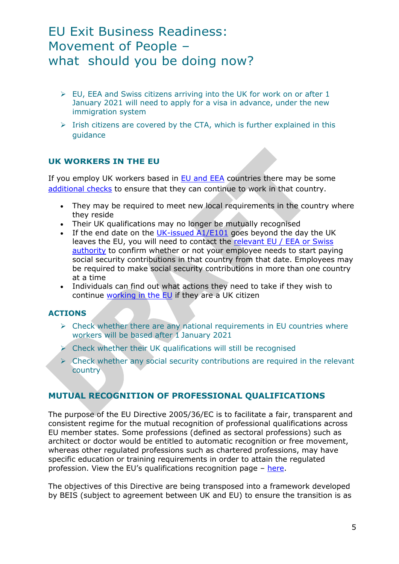- $\geq$  EU. EEA and Swiss citizens arriving into the UK for work on or after 1 January 2021 will need to apply for a visa in advance, under the new immigration system
- $\triangleright$  Irish citizens are covered by the CTA, which is further explained in this guidance

# **UK WORKERS IN THE EU**

If you employ UK workers based in  $EU$  and  $EEA$  countries there may be some [additional checks](https://www.gov.uk/guidance/living-in-europe) to ensure that they can continue to work in that country.

- They may be required to meet new local requirements in the country where they reside
- Their UK qualifications may no longer be mutually recognised
- If the end date on the [UK-issued](https://www.gov.uk/national-insurance-if-you-go-abroad) A1/E101 goes beyond the day the UK leaves the EU, you will need to contact the [relevant](https://ec.europa.eu/social/main.jsp?catId=1028&langId=en) EU / EEA or Swiss [authority](https://ec.europa.eu/social/main.jsp?catId=1028&langId=en) to confirm whether or not your employee needs to start paying social security contributions in that country from that date. Employees may be required to make social security contributions in more than one country at a time
- Individuals can find out what actions they need to take if they wish to continue [working](https://builduk.us5.list-manage.com/track/click?u=43de7616c0d926d08752d5488&id=9bf45efb1d&e=a529dbabf6) in the EU if they are a UK citizen

# **ACTIONS**

- $\triangleright$  Check whether there are any national requirements in EU countries where workers will be based after 1 January 2021
- $\triangleright$  Check whether their UK qualifications will still be recognised
- ➢ Check whether any social security contributions are required in the relevant country

# **MUTUAL RECOGNITION OF PROFESSIONAL QUALIFICATIONS**

The purpose of the EU Directive 2005/36/EC is to facilitate a fair, transparent and consistent regime for the mutual recognition of professional qualifications across EU member states. Some professions (defined as sectoral professions) such as architect or doctor would be entitled to automatic recognition or free movement, whereas other regulated professions such as chartered professions, may have specific education or training requirements in order to attain the regulated profession. View the EU's qualifications recognition page – [here.](https://ec.europa.eu/growth/single-market/services/free-movement-professionals/qualifications-recognition_en)

The objectives of this Directive are being transposed into a framework developed by BEIS (subject to agreement between UK and EU) to ensure the transition is as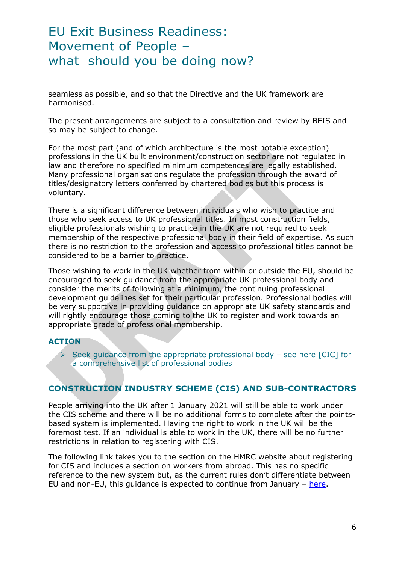seamless as possible, and so that the Directive and the UK framework are harmonised.

The present arrangements are subject to a consultation and review by BEIS and so may be subject to change.

For the most part (and of which architecture is the most notable exception) professions in the UK built environment/construction sector are not regulated in law and therefore no specified minimum competences are legally established. Many professional organisations regulate the profession through the award of titles/designatory letters conferred by chartered bodies but this process is voluntary.

There is a significant difference between individuals who wish to practice and those who seek access to UK professional titles. In most construction fields, eligible professionals wishing to practice in the UK are not required to seek membership of the respective professional body in their field of expertise. As such there is no restriction to the profession and access to professional titles cannot be considered to be a barrier to practice.

Those wishing to work in the UK whether from within or outside the EU, should be encouraged to seek guidance from the appropriate UK professional body and consider the merits of following at a minimum, the continuing professional development guidelines set for their particular profession. Professional bodies will be very supportive in providing guidance on appropriate UK safety standards and will rightly encourage those coming to the UK to register and work towards an appropriate grade of professional membership.

#### **ACTION**

 $\triangleright$  Seek guidance from the appropriate professional body – see [here](http://cic.org.uk/about-us/cic-members.php) [CIC] for a comprehensive list of professional bodies

# **CONSTRUCTION INDUSTRY SCHEME (CIS) AND SUB-CONTRACTORS**

People arriving into the UK after 1 January 2021 will still be able to work under the CIS scheme and there will be no additional forms to complete after the pointsbased system is implemented. Having the right to work in the UK will be the foremost test. If an individual is able to work in the UK, there will be no further restrictions in relation to registering with CIS.

The following link takes you to the section on the HMRC website about registering for CIS and includes a section on workers from abroad. This has no specific reference to the new system but, as the current rules don't differentiate between EU and non-EU, this guidance is expected to continue from January – [here.](https://www.gov.uk/what-you-must-do-as-a-cis-subcontractor/how-to-register)